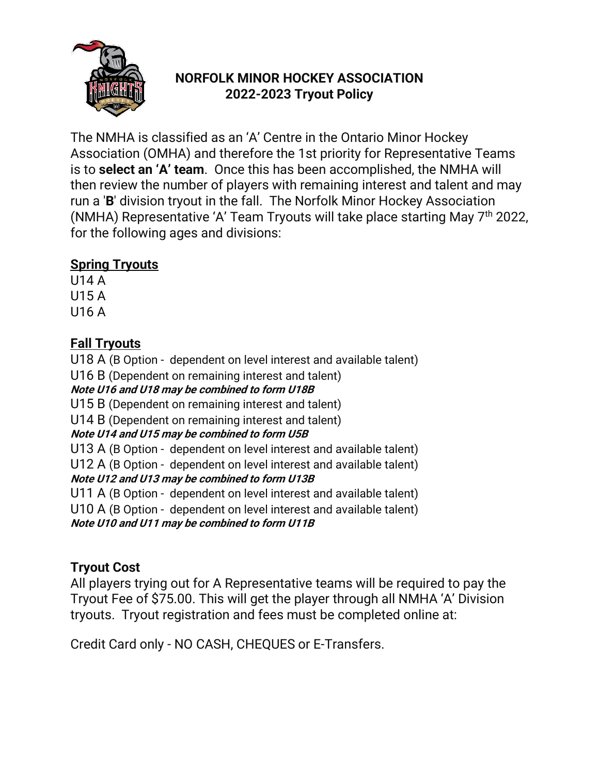

# **NORFOLK MINOR HOCKEY ASSOCIATION 2022-2023 Tryout Policy**

The NMHA is classified as an 'A' Centre in the Ontario Minor Hockey Association (OMHA) and therefore the 1st priority for Representative Teams is to **select an 'A' team**. Once this has been accomplished, the NMHA will then review the number of players with remaining interest and talent and may run a '**B**' division tryout in the fall. The Norfolk Minor Hockey Association (NMHA) Representative 'A' Team Tryouts will take place starting May 7<sup>th</sup> 2022, for the following ages and divisions:

## **Spring Tryouts**

U14 A U15 A U16 A

## **Fall Tryouts**

U18 A (B Option - dependent on level interest and available talent)

U16 B (Dependent on remaining interest and talent)

#### **Note U16 and U18 may be combined to form U18B**

U15 B (Dependent on remaining interest and talent)

U14 B (Dependent on remaining interest and talent)

### **Note U14 and U15 may be combined to form U5B**

U13 A (B Option - dependent on level interest and available talent)

U12 A (B Option - dependent on level interest and available talent) **Note U12 and U13 may be combined to form U13B**

U11 A (B Option - dependent on level interest and available talent)

U10 A (B Option - dependent on level interest and available talent)

**Note U10 and U11 may be combined to form U11B**

## **Tryout Cost**

All players trying out for A Representative teams will be required to pay the Tryout Fee of \$75.00. This will get the player through all NMHA 'A' Division tryouts. Tryout registration and fees must be completed online at:

Credit Card only - NO CASH, CHEQUES or E-Transfers.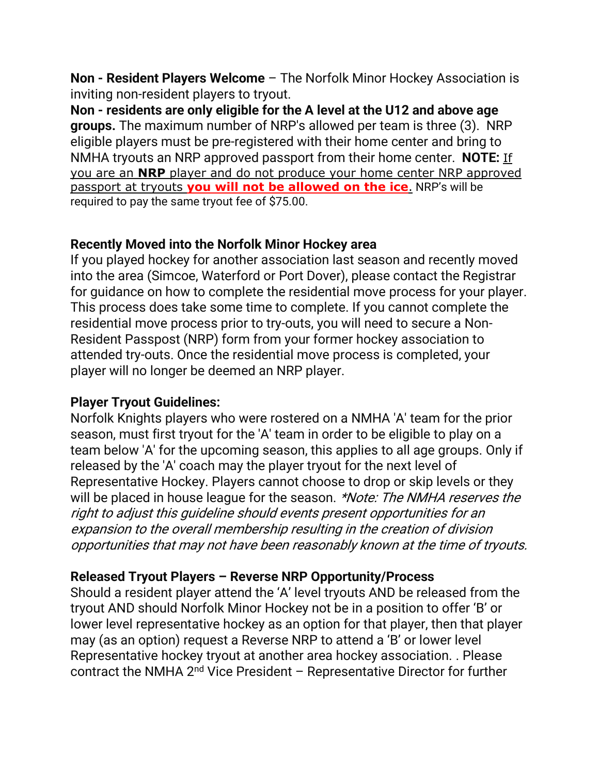**Non - Resident Players Welcome** – The Norfolk Minor Hockey Association is inviting non-resident players to tryout.

**Non - residents are only eligible for the A level at the U12 and above age groups.** The maximum number of NRP's allowed per team is three (3). NRP eligible players must be pre-registered with their home center and bring to NMHA tryouts an NRP approved passport from their home center. **NOTE:** If you are an **NRP** player and do not produce your home center NRP approved passport at tryouts **you will not be allowed on the ice**. NRP's will be required to pay the same tryout fee of \$75.00.

### **Recently Moved into the Norfolk Minor Hockey area**

If you played hockey for another association last season and recently moved into the area (Simcoe, Waterford or Port Dover), please contact the Registrar for guidance on how to complete the residential move process for your player. This process does take some time to complete. If you cannot complete the residential move process prior to try-outs, you will need to secure a Non-Resident Passpost (NRP) form from your former hockey association to attended try-outs. Once the residential move process is completed, your player will no longer be deemed an NRP player.

### **Player Tryout Guidelines:**

Norfolk Knights players who were rostered on a NMHA 'A' team for the prior season, must first tryout for the 'A' team in order to be eligible to play on a team below 'A' for the upcoming season, this applies to all age groups. Only if released by the 'A' coach may the player tryout for the next level of Representative Hockey. Players cannot choose to drop or skip levels or they will be placed in house league for the season. \*Note: The NMHA reserves the right to adjust this guideline should events present opportunities for an expansion to the overall membership resulting in the creation of division opportunities that may not have been reasonably known at the time of tryouts.

## **Released Tryout Players – Reverse NRP Opportunity/Process**

Should a resident player attend the 'A' level tryouts AND be released from the tryout AND should Norfolk Minor Hockey not be in a position to offer 'B' or lower level representative hockey as an option for that player, then that player may (as an option) request a Reverse NRP to attend a 'B' or lower level Representative hockey tryout at another area hockey association. . Please contract the NMHA 2nd Vice President – Representative Director for further